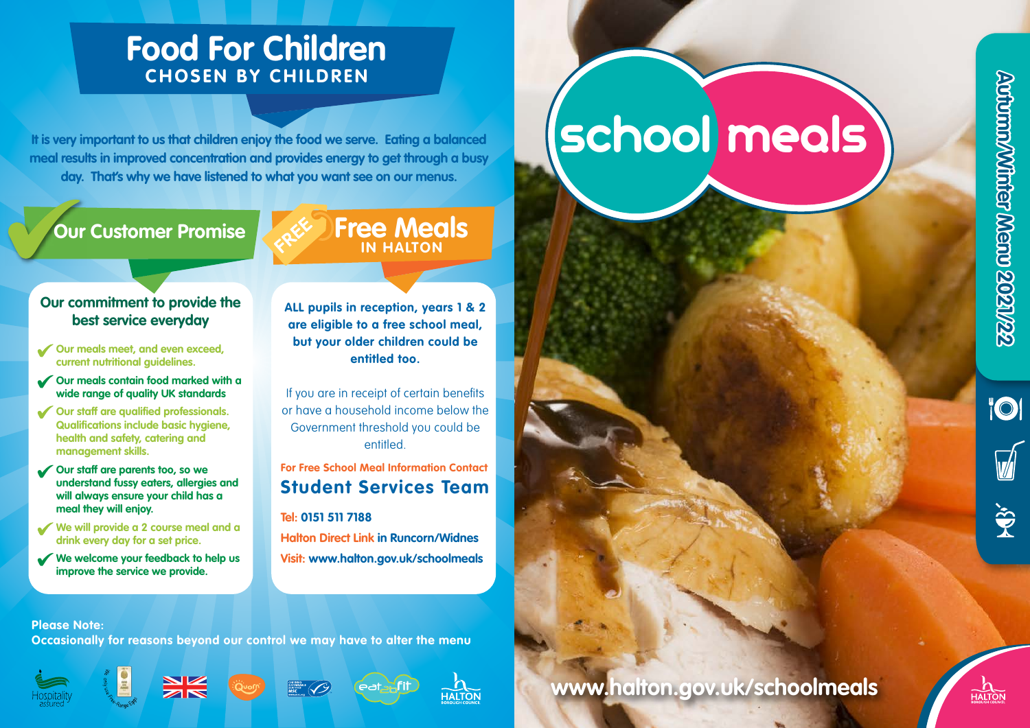**"OI** 

 $\ddot{\mathbf{\hat{y}}}$ 

# **Food For Children CHOSEN BY CHILDREN**

**It is very important to us that children enjoy the food we serve. Eating a balanced meal results in improved concentration and provides energy to get through a busy day. That's why we have listened to what you want see on our menus.** 

# **Our Customer Promise**

## **Free Meals IN HALTON**

#### **Our commitment to provide the best service everyday**

- **Our meals meet, and even exceed, current nutritional guidelines.**
- **Our meals contain food marked with a wide range of quality UK standards**
- **Our staff are qualified professionals. Qualifications include basic hygiene, health and safety, catering and management skills.**
- **Our staff are parents too, so we understand fussy eaters, allergies and will always ensure your child has a meal they will enjoy.**
- **We will provide a 2 course meal and a drink every day for a set price.**
- **We welcome your feedback to help us improve the service we provide.**

#### **ALL pupils in reception, years 1 & 2 are eligible to a free school meal, but your older children could be entitled too.**

If you are in receipt of certain benefits or have a household income below the Government threshold you could be entitled.

## **For Free School Meal Information Contact Student Services Team**

- **Tel: 0151 511 7188**
- **Halton Direct Link in Runcorn/Widnes Visit: www.halton.gov.uk/schoolmeals**

# **school meals**

**www.halton.gov.uk/schoolmeals**



#### **Please Note:**

**Occasionally for reasons beyond our control we may have to alter the menu**